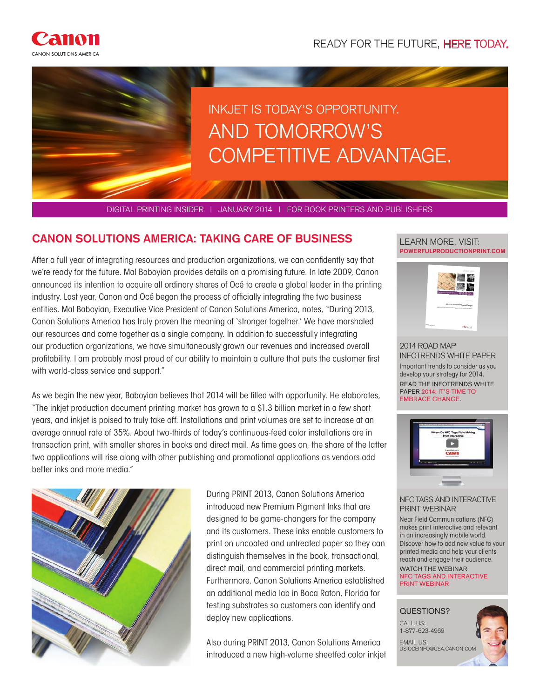

## INKJET IS TODAY'S OPPORTUNITY. AND TOMORROW'S COMPETITIVE ADVANTAGE.

DIGITAL PRINTING INSIDER | JANUARY 2014 | FOR BOOK PRINTERS AND PUBLISHERS

#### **CANON SOLUTIONS AMERICA: TAKING CARE OF BUSINESS**

After a full year of integrating resources and production organizations, we can confidently say that we're ready for the future. Mal Baboyian provides details on a promising future. In late 2009, Canon announced its intention to acquire all ordinary shares of Océ to create a global leader in the printing industry. Last year, Canon and Océ began the process of officially integrating the two business entities. Mal Baboyian, Executive Vice President of Canon Solutions America, notes, "During 2013, Canon Solutions America has truly proven the meaning of 'stronger together.' We have marshaled our resources and come together as a single company. In addition to successfully integrating our production organizations, we have simultaneously grown our revenues and increased overall profitability. I am probably most proud of our ability to maintain a culture that puts the customer first with world-class service and support."

As we begin the new year, Baboyian believes that 2014 will be filled with opportunity. He elaborates, "The inkjet production document printing market has grown to a \$1.3 billion market in a few short years, and inkjet is poised to truly take off. Installations and print volumes are set to increase at an average annual rate of 35%. About two-thirds of today's continuous-feed color installations are in transaction print, with smaller shares in books and direct mail. As time goes on, the share of the latter two applications will rise along with other publishing and promotional applications as vendors add better inks and more media."



During PRINT 2013, Canon Solutions America introduced new Premium Pigment Inks that are designed to be game-changers for the company and its customers. These inks enable customers to print on uncoated and untreated paper so they can distinguish themselves in the book, transactional, direct mail, and commercial printing markets. Furthermore, Canon Solutions America established an additional media lab in Boca Raton, Florida for testing substrates so customers can identify and deploy new applications.

Also during PRINT 2013, Canon Solutions America introduced a new high-volume sheetfed color inkjet

#### **POWERFULPRODUCTIONPRINT.COM** LEARN MORE. VISIT:



2014 ROAD MAP INFOTRENDS WHITE PAPER Important trends to consider as you develop your strategy for 2014. READ THE INFOTRENDS WHITE PAPER 2014: IT'S TIME TO EMBRACE CHANGE.



#### NFC TAGS AND INTERACTIVE PRINT WEBINAR

Near Field Communications (NFC) makes print interactive and relevant in an increasingly mobile world. Discover how to add new value to your printed media and help your clients reach and engage their audience. WATCH THE WEBINAR

NFC TAGS AND INTERACTIVE PRINT WEBINAR

#### QUESTIONS?

CALL US: 1-877-623-4969 EMAIL US: US.OCEINFO@CSA.CANON.COM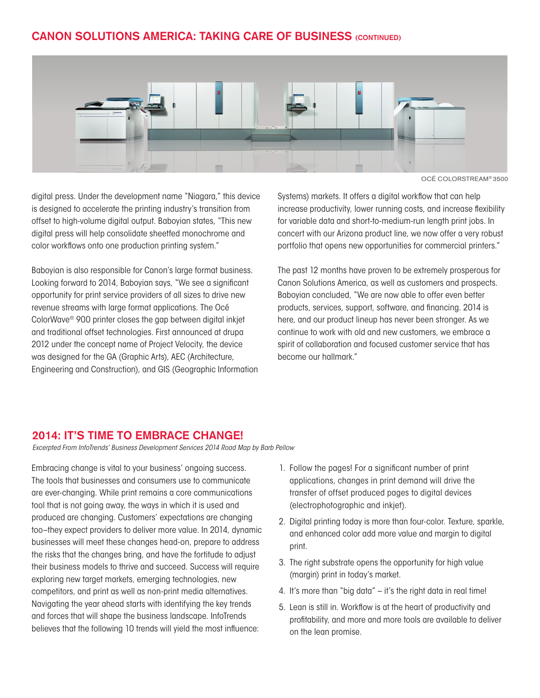#### **CANON SOLUTIONS AMERICA: TAKING CARE OF BUSINESS (CONTINUED)**



OCÉ COLORSTREAM® 3500

digital press. Under the development name "Niagara," this device is designed to accelerate the printing industry's transition from offset to high-volume digital output. Baboyian states, "This new digital press will help consolidate sheetfed monochrome and color workflows onto one production printing system."

Baboyian is also responsible for Canon's large format business. Looking forward to 2014, Baboyian says, "We see a significant opportunity for print service providers of all sizes to drive new revenue streams with large format applications. The Océ ColorWave® 900 printer closes the gap between digital inkjet and traditional offset technologies. First announced at drupa 2012 under the concept name of Project Velocity, the device was designed for the GA (Graphic Arts), AEC (Architecture, Engineering and Construction), and GIS (Geographic Information Systems) markets. It offers a digital workflow that can help increase productivity, lower running costs, and increase flexibility for variable data and short-to-medium-run length print jobs. In concert with our Arizona product line, we now offer a very robust portfolio that opens new opportunities for commercial printers."

The past 12 months have proven to be extremely prosperous for Canon Solutions America, as well as customers and prospects. Baboyian concluded, "We are now able to offer even better products, services, support, software, and financing. 2014 is here, and our product lineup has never been stronger. As we continue to work with old and new customers, we embrace a spirit of collaboration and focused customer service that has become our hallmark."

#### **2014: IT'S TIME TO EMBRACE CHANGE!**

*Excerpted From InfoTrends' Business Development Services 2014 Road Map by Barb Pellow*

Embracing change is vital to your business' ongoing success. The tools that businesses and consumers use to communicate are ever-changing. While print remains a core communications tool that is not going away, the ways in which it is used and produced are changing. Customers' expectations are changing too–they expect providers to deliver more value. In 2014, dynamic businesses will meet these changes head-on, prepare to address the risks that the changes bring, and have the fortitude to adjust their business models to thrive and succeed. Success will require exploring new target markets, emerging technologies, new competitors, and print as well as non-print media alternatives. Navigating the year ahead starts with identifying the key trends and forces that will shape the business landscape. InfoTrends believes that the following 10 trends will yield the most influence:

- 1. Follow the pages! For a significant number of print applications, changes in print demand will drive the transfer of offset produced pages to digital devices (electrophotographic and inkjet).
- 2. Digital printing today is more than four-color. Texture, sparkle, and enhanced color add more value and margin to digital print.
- 3. The right substrate opens the opportunity for high value (margin) print in today's market.
- 4. It's more than "big data" it's the right data in real time!
- 5. Lean is still in. Workflow is at the heart of productivity and profitability, and more and more tools are available to deliver on the lean promise.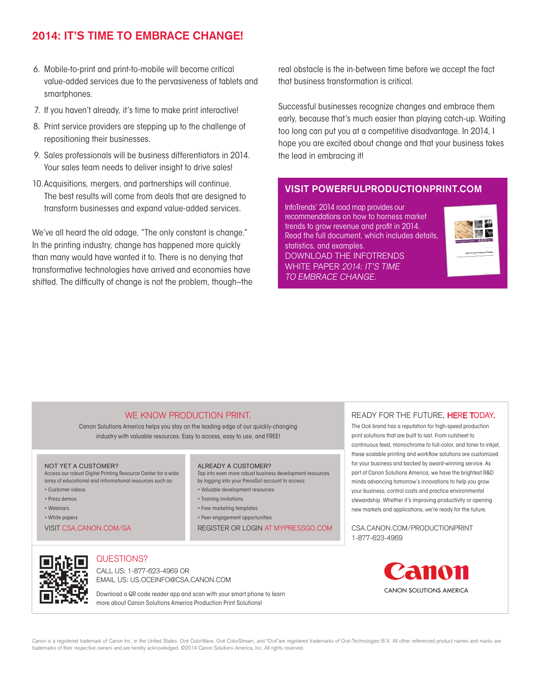#### **2014: IT'S TIME TO EMBRACE CHANGE!**

- 6. Mobile-to-print and print-to-mobile will become critical value-added services due to the pervasiveness of tablets and smartphones.
- 7. If you haven't already, it's time to make print interactive!
- 8. Print service providers are stepping up to the challenge of repositioning their businesses.
- 9. Sales professionals will be business differentiators in 2014. Your sales team needs to deliver insight to drive sales!
- 10.Acquisitions, mergers, and partnerships will continue. The best results will come from deals that are designed to transform businesses and expand value-added services.

We've all heard the old adage, "The only constant is change." In the printing industry, change has happened more quickly than many would have wanted it to. There is no denying that transformative technologies have arrived and economies have shifted. The difficulty of change is not the problem, though–the real obstacle is the in-between time before we accept the fact that business transformation is critical.

Successful businesses recognize changes and embrace them early, because that's much easier than playing catch-up. Waiting too long can put you at a competitive disadvantage. In 2014, I hope you are excited about change and that your business takes the lead in embracing it!

#### **VISIT POWERFULPRODUCTIONPRINT.COM**

InfoTrends' 2014 road map provides our recommendations on how to harness market trends to grow revenue and profit in 2014. Read the full document, which includes details, statistics, and examples. DOWNLOAD THE INFOTRENDS WHITE PAPER 2014: IT'S TIME TO EMBRACE CHANGE.



Comments or Questions?

#### WE KNOW PRODUCTION PRINT.

Canon Solutions America helps you stay on the leading edge of our quickly-changing industry with valuable resources. Easy to access, easy to use, and FREE!

#### NOT YET A CUSTOMER?

Access our robust Digital Printing Resource Center for a wide array of educational and informational resources such as:

- Customer videos
- Press demos • Webinars
- 
- White papers

VISIT CSA.CANON.COM/GA

#### ALREADY A CUSTOMER?

- Tap into even more robust business development resources by logging into your PressGo! account to access:
- Valuable development resources
- Training invitations
- Free marketing templates
- 
- Peer engagement opportunities

REGISTER OR LOGIN AT MYPRESSGO.COM

#### READY FOR THE FUTURE, HERE TODAY.

The Océ brand has a reputation for high-speed production print solutions that are built to last. From cutsheet to continuous feed, monochrome to full-color, and toner to inkjet, these scalable printing and workflow solutions are customized for your business and backed by award-winning service. As part of Canon Solutions America, we have the brightest R&D minds advancing tomorrow's innovations to help you grow your business, control costs and practice environmental stewardship. Whether it's improving productivity or opening new markets and applications, we're ready for the future.

CSA.CANON.COM/PRODUCTIONPRINT 1-877-623-4969



#### QUESTIONS?

CALL US: 1-877-623-4969 OR EMAIL US: US.OCEINFO@CSA.CANON.COM

Download a QR code reader app and scan with your smart phone to learn more about Canon Solutions America Production Print Solutions!

Panon CANON SOLUTIONS AMERICA

Canon is a registered trademark of Canon Inc. in the United States. Océ ColorWave, Océ ColorStream, and "Océ"are registered trademarks of Océ-Technologies B.V. All other referenced product names and marks are trademarks of their respective owners and are hereby acknowledged. ©2014 Canon Solutions America, Inc. All rights reserved.